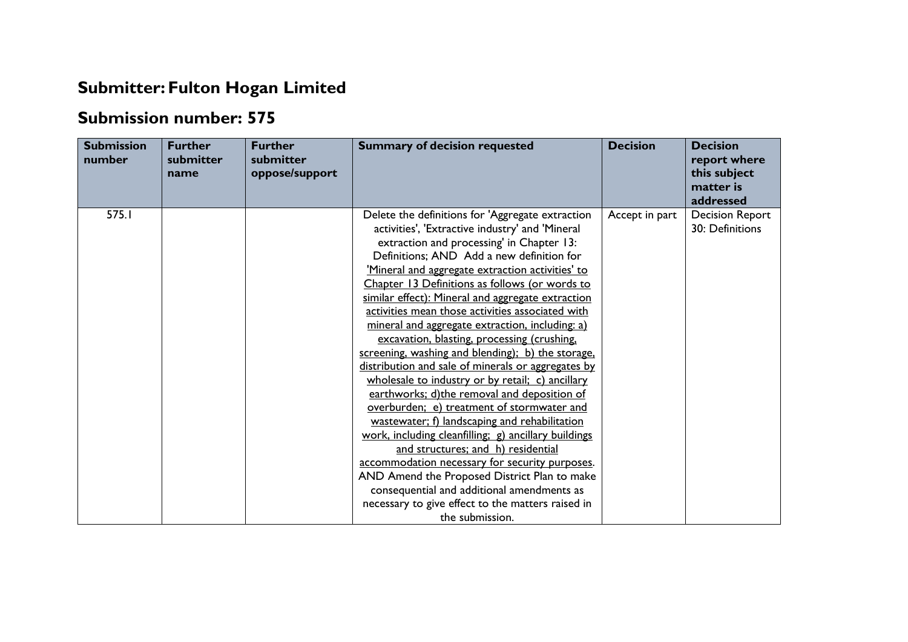## **Submitter: Fulton Hogan Limited**

## **Submission number: 575**

| <b>Submission</b><br>number | <b>Further</b><br>submitter<br>name | <b>Further</b><br>submitter<br>oppose/support | <b>Summary of decision requested</b>                 | <b>Decision</b> | <b>Decision</b><br>report where<br>this subject<br>matter is<br>addressed |
|-----------------------------|-------------------------------------|-----------------------------------------------|------------------------------------------------------|-----------------|---------------------------------------------------------------------------|
| 575.I                       |                                     |                                               | Delete the definitions for 'Aggregate extraction     | Accept in part  | <b>Decision Report</b>                                                    |
|                             |                                     |                                               | activities', 'Extractive industry' and 'Mineral      |                 | 30: Definitions                                                           |
|                             |                                     |                                               | extraction and processing' in Chapter 13:            |                 |                                                                           |
|                             |                                     |                                               | Definitions; AND Add a new definition for            |                 |                                                                           |
|                             |                                     |                                               | 'Mineral and aggregate extraction activities' to     |                 |                                                                           |
|                             |                                     |                                               | Chapter 13 Definitions as follows (or words to       |                 |                                                                           |
|                             |                                     |                                               | similar effect): Mineral and aggregate extraction    |                 |                                                                           |
|                             |                                     |                                               | activities mean those activities associated with     |                 |                                                                           |
|                             |                                     |                                               | mineral and aggregate extraction, including: a)      |                 |                                                                           |
|                             |                                     |                                               | excavation, blasting, processing (crushing,          |                 |                                                                           |
|                             |                                     |                                               | screening, washing and blending); b) the storage,    |                 |                                                                           |
|                             |                                     |                                               | distribution and sale of minerals or aggregates by   |                 |                                                                           |
|                             |                                     |                                               | wholesale to industry or by retail; c) ancillary     |                 |                                                                           |
|                             |                                     |                                               | earthworks; d)the removal and deposition of          |                 |                                                                           |
|                             |                                     |                                               | overburden; e) treatment of stormwater and           |                 |                                                                           |
|                             |                                     |                                               | wastewater; f) landscaping and rehabilitation        |                 |                                                                           |
|                             |                                     |                                               | work, including cleanfilling; g) ancillary buildings |                 |                                                                           |
|                             |                                     |                                               | and structures; and h) residential                   |                 |                                                                           |
|                             |                                     |                                               | accommodation necessary for security purposes.       |                 |                                                                           |
|                             |                                     |                                               | AND Amend the Proposed District Plan to make         |                 |                                                                           |
|                             |                                     |                                               | consequential and additional amendments as           |                 |                                                                           |
|                             |                                     |                                               | necessary to give effect to the matters raised in    |                 |                                                                           |
|                             |                                     |                                               | the submission.                                      |                 |                                                                           |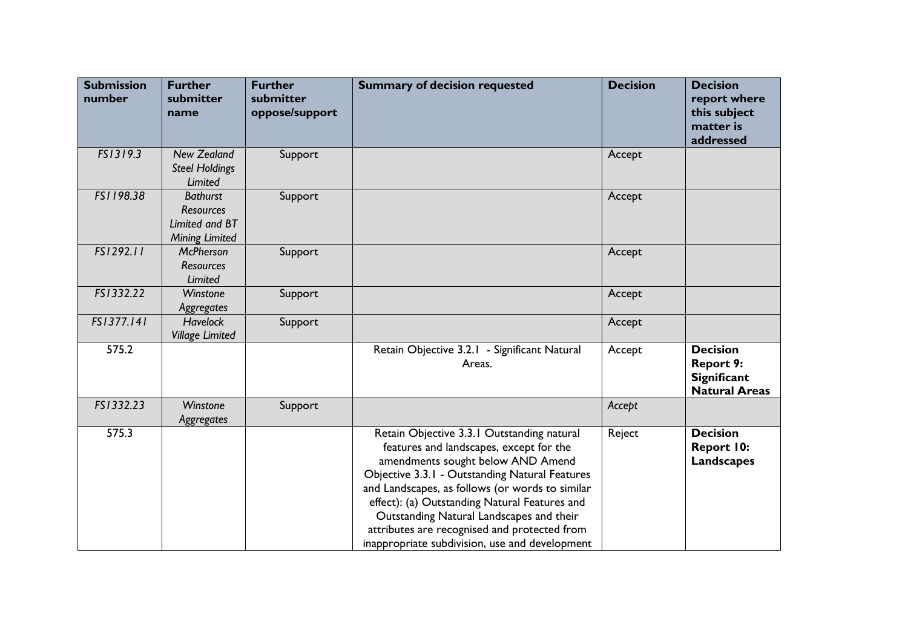| <b>Submission</b><br>number | <b>Further</b><br>submitter<br>name                                            | <b>Further</b><br>submitter<br>oppose/support | <b>Summary of decision requested</b>                                                                                                                                                                                                                                                                                                                                                                                           | <b>Decision</b> | <b>Decision</b><br>report where<br>this subject<br>matter is<br>addressed         |
|-----------------------------|--------------------------------------------------------------------------------|-----------------------------------------------|--------------------------------------------------------------------------------------------------------------------------------------------------------------------------------------------------------------------------------------------------------------------------------------------------------------------------------------------------------------------------------------------------------------------------------|-----------------|-----------------------------------------------------------------------------------|
| FS1319.3                    | <b>New Zealand</b><br><b>Steel Holdings</b><br>Limited                         | Support                                       |                                                                                                                                                                                                                                                                                                                                                                                                                                | Accept          |                                                                                   |
| FS1198.38                   | <b>Bathurst</b><br><b>Resources</b><br>Limited and BT<br><b>Mining Limited</b> | Support                                       |                                                                                                                                                                                                                                                                                                                                                                                                                                | Accept          |                                                                                   |
| FS1292.11                   | <b>McPherson</b><br><b>Resources</b><br>Limited                                | Support                                       |                                                                                                                                                                                                                                                                                                                                                                                                                                | Accept          |                                                                                   |
| FS1332.22                   | Winstone<br>Aggregates                                                         | Support                                       |                                                                                                                                                                                                                                                                                                                                                                                                                                | Accept          |                                                                                   |
| FS1377.141                  | <b>Havelock</b><br><b>Village Limited</b>                                      | Support                                       |                                                                                                                                                                                                                                                                                                                                                                                                                                | Accept          |                                                                                   |
| 575.2                       |                                                                                |                                               | Retain Objective 3.2.1 - Significant Natural<br>Areas.                                                                                                                                                                                                                                                                                                                                                                         | Accept          | <b>Decision</b><br><b>Report 9:</b><br><b>Significant</b><br><b>Natural Areas</b> |
| FS1332.23                   | Winstone<br>Aggregates                                                         | Support                                       |                                                                                                                                                                                                                                                                                                                                                                                                                                | Accept          |                                                                                   |
| 575.3                       |                                                                                |                                               | Retain Objective 3.3.1 Outstanding natural<br>features and landscapes, except for the<br>amendments sought below AND Amend<br>Objective 3.3.1 - Outstanding Natural Features<br>and Landscapes, as follows (or words to similar<br>effect): (a) Outstanding Natural Features and<br>Outstanding Natural Landscapes and their<br>attributes are recognised and protected from<br>inappropriate subdivision, use and development | Reject          | <b>Decision</b><br>Report 10:<br>Landscapes                                       |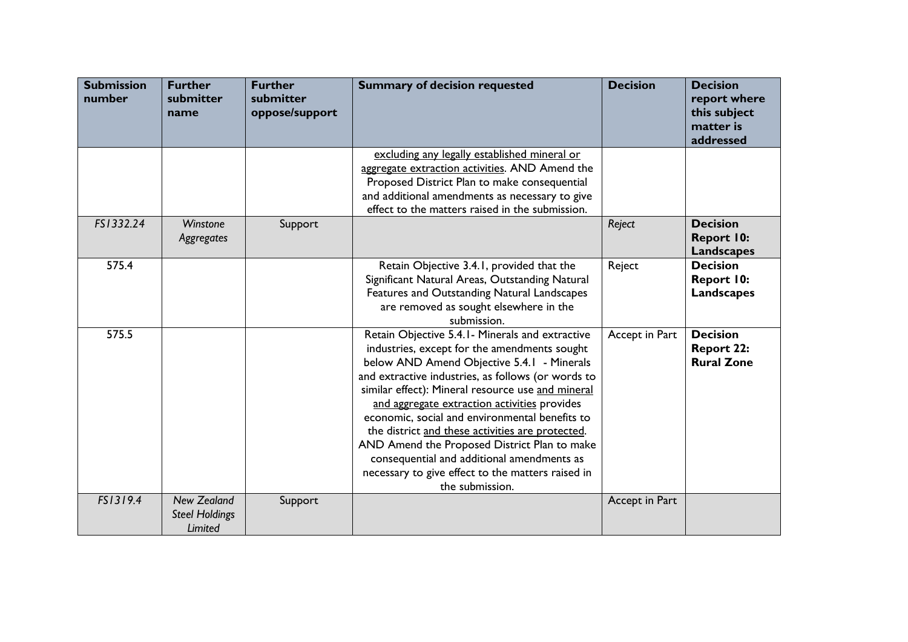| <b>Submission</b><br>number | <b>Further</b><br>submitter<br>name                    | <b>Further</b><br>submitter<br>oppose/support | <b>Summary of decision requested</b>                                                                                                                                                                                                                                                                                                                                                                                                                                                                                                                                                  | <b>Decision</b> | <b>Decision</b><br>report where<br>this subject<br>matter is<br>addressed |
|-----------------------------|--------------------------------------------------------|-----------------------------------------------|---------------------------------------------------------------------------------------------------------------------------------------------------------------------------------------------------------------------------------------------------------------------------------------------------------------------------------------------------------------------------------------------------------------------------------------------------------------------------------------------------------------------------------------------------------------------------------------|-----------------|---------------------------------------------------------------------------|
|                             |                                                        |                                               | excluding any legally established mineral or<br>aggregate extraction activities. AND Amend the<br>Proposed District Plan to make consequential<br>and additional amendments as necessary to give<br>effect to the matters raised in the submission.                                                                                                                                                                                                                                                                                                                                   |                 |                                                                           |
| FS1332.24                   | Winstone<br>Aggregates                                 | Support                                       |                                                                                                                                                                                                                                                                                                                                                                                                                                                                                                                                                                                       | Reject          | <b>Decision</b><br><b>Report 10:</b><br><b>Landscapes</b>                 |
| 575.4                       |                                                        |                                               | Retain Objective 3.4.1, provided that the<br>Significant Natural Areas, Outstanding Natural<br>Features and Outstanding Natural Landscapes<br>are removed as sought elsewhere in the<br>submission.                                                                                                                                                                                                                                                                                                                                                                                   | Reject          | <b>Decision</b><br><b>Report 10:</b><br><b>Landscapes</b>                 |
| 575.5                       |                                                        |                                               | Retain Objective 5.4.1 - Minerals and extractive<br>industries, except for the amendments sought<br>below AND Amend Objective 5.4.1 - Minerals<br>and extractive industries, as follows (or words to<br>similar effect): Mineral resource use and mineral<br>and aggregate extraction activities provides<br>economic, social and environmental benefits to<br>the district and these activities are protected.<br>AND Amend the Proposed District Plan to make<br>consequential and additional amendments as<br>necessary to give effect to the matters raised in<br>the submission. | Accept in Part  | <b>Decision</b><br><b>Report 22:</b><br><b>Rural Zone</b>                 |
| FS1319.4                    | <b>New Zealand</b><br><b>Steel Holdings</b><br>Limited | Support                                       |                                                                                                                                                                                                                                                                                                                                                                                                                                                                                                                                                                                       | Accept in Part  |                                                                           |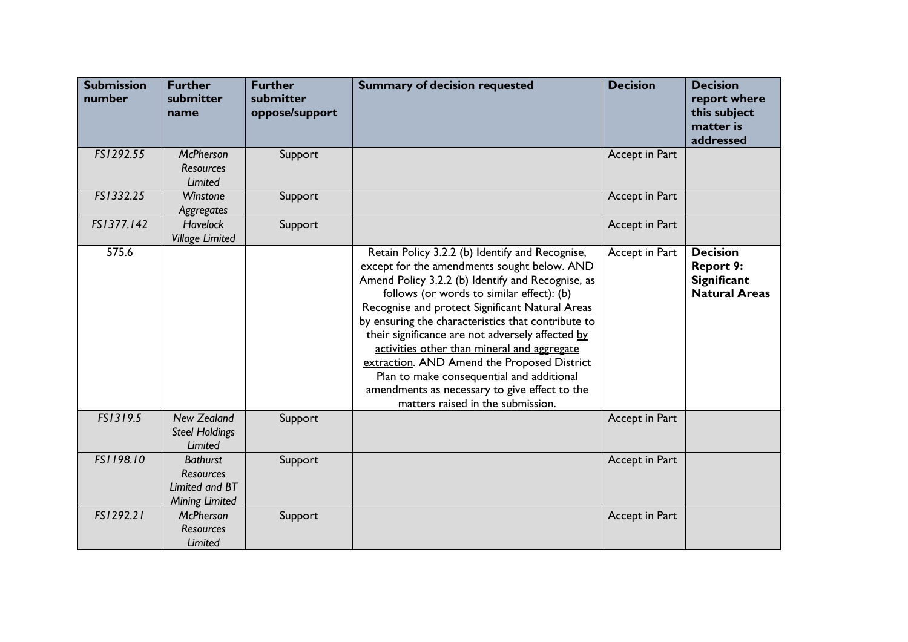| <b>Submission</b><br>number | <b>Further</b><br>submitter<br>name                                            | <b>Further</b><br>submitter<br>oppose/support | <b>Summary of decision requested</b>                                                                                                                                                                                                                                                                                                                                                                                                                                                                                                                                                           | <b>Decision</b> | <b>Decision</b><br>report where<br>this subject<br>matter is<br>addressed         |
|-----------------------------|--------------------------------------------------------------------------------|-----------------------------------------------|------------------------------------------------------------------------------------------------------------------------------------------------------------------------------------------------------------------------------------------------------------------------------------------------------------------------------------------------------------------------------------------------------------------------------------------------------------------------------------------------------------------------------------------------------------------------------------------------|-----------------|-----------------------------------------------------------------------------------|
| FS1292.55                   | <b>McPherson</b><br><b>Resources</b><br>Limited                                | Support                                       |                                                                                                                                                                                                                                                                                                                                                                                                                                                                                                                                                                                                | Accept in Part  |                                                                                   |
| FS1332.25                   | Winstone<br>Aggregates                                                         | Support                                       |                                                                                                                                                                                                                                                                                                                                                                                                                                                                                                                                                                                                | Accept in Part  |                                                                                   |
| FS1377.142                  | <b>Havelock</b><br><b>Village Limited</b>                                      | Support                                       |                                                                                                                                                                                                                                                                                                                                                                                                                                                                                                                                                                                                | Accept in Part  |                                                                                   |
| 575.6                       |                                                                                |                                               | Retain Policy 3.2.2 (b) Identify and Recognise,<br>except for the amendments sought below. AND<br>Amend Policy 3.2.2 (b) Identify and Recognise, as<br>follows (or words to similar effect): (b)<br>Recognise and protect Significant Natural Areas<br>by ensuring the characteristics that contribute to<br>their significance are not adversely affected by<br>activities other than mineral and aggregate<br>extraction. AND Amend the Proposed District<br>Plan to make consequential and additional<br>amendments as necessary to give effect to the<br>matters raised in the submission. | Accept in Part  | <b>Decision</b><br><b>Report 9:</b><br><b>Significant</b><br><b>Natural Areas</b> |
| FS1319.5                    | <b>New Zealand</b><br><b>Steel Holdings</b><br>Limited                         | Support                                       |                                                                                                                                                                                                                                                                                                                                                                                                                                                                                                                                                                                                | Accept in Part  |                                                                                   |
| FS1198.10                   | <b>Bathurst</b><br><b>Resources</b><br>Limited and BT<br><b>Mining Limited</b> | Support                                       |                                                                                                                                                                                                                                                                                                                                                                                                                                                                                                                                                                                                | Accept in Part  |                                                                                   |
| FS1292.21                   | <b>McPherson</b><br><b>Resources</b><br>Limited                                | Support                                       |                                                                                                                                                                                                                                                                                                                                                                                                                                                                                                                                                                                                | Accept in Part  |                                                                                   |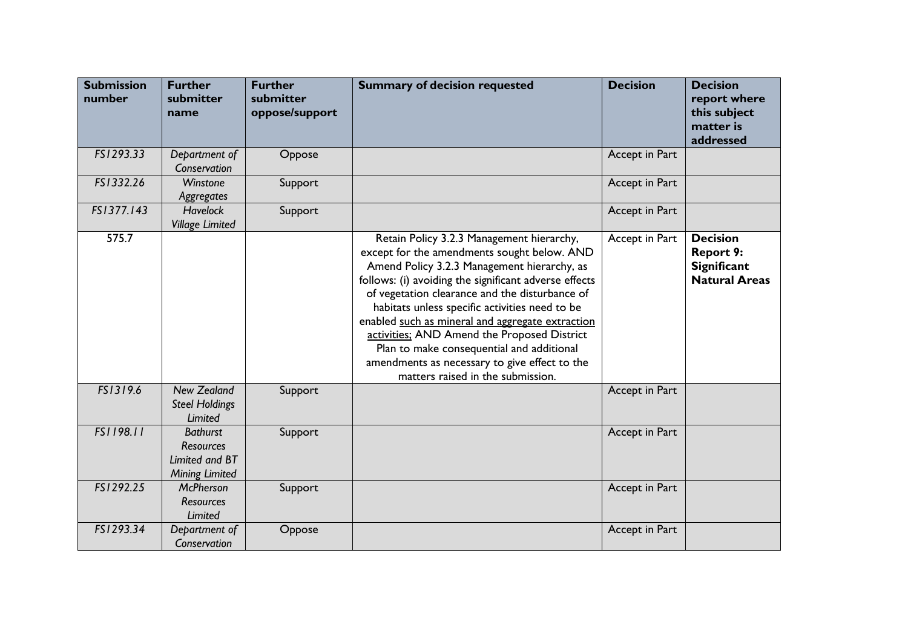| <b>Submission</b><br>number | <b>Further</b><br>submitter<br>name                                            | <b>Further</b><br>submitter<br>oppose/support | <b>Summary of decision requested</b>                                                                                                                                                                                                                                                                                                                                                                                                                                                                                                       | <b>Decision</b> | <b>Decision</b><br>report where<br>this subject<br>matter is<br>addressed         |
|-----------------------------|--------------------------------------------------------------------------------|-----------------------------------------------|--------------------------------------------------------------------------------------------------------------------------------------------------------------------------------------------------------------------------------------------------------------------------------------------------------------------------------------------------------------------------------------------------------------------------------------------------------------------------------------------------------------------------------------------|-----------------|-----------------------------------------------------------------------------------|
| FS1293.33                   | Department of<br>Conservation                                                  | Oppose                                        |                                                                                                                                                                                                                                                                                                                                                                                                                                                                                                                                            | Accept in Part  |                                                                                   |
| FS1332.26                   | Winstone<br>Aggregates                                                         | Support                                       |                                                                                                                                                                                                                                                                                                                                                                                                                                                                                                                                            | Accept in Part  |                                                                                   |
| FS1377.143                  | <b>Havelock</b><br><b>Village Limited</b>                                      | Support                                       |                                                                                                                                                                                                                                                                                                                                                                                                                                                                                                                                            | Accept in Part  |                                                                                   |
| 575.7                       |                                                                                |                                               | Retain Policy 3.2.3 Management hierarchy,<br>except for the amendments sought below. AND<br>Amend Policy 3.2.3 Management hierarchy, as<br>follows: (i) avoiding the significant adverse effects<br>of vegetation clearance and the disturbance of<br>habitats unless specific activities need to be<br>enabled such as mineral and aggregate extraction<br>activities: AND Amend the Proposed District<br>Plan to make consequential and additional<br>amendments as necessary to give effect to the<br>matters raised in the submission. | Accept in Part  | <b>Decision</b><br><b>Report 9:</b><br><b>Significant</b><br><b>Natural Areas</b> |
| FS1319.6                    | <b>New Zealand</b><br><b>Steel Holdings</b><br>Limited                         | Support                                       |                                                                                                                                                                                                                                                                                                                                                                                                                                                                                                                                            | Accept in Part  |                                                                                   |
| FS1198.11                   | <b>Bathurst</b><br><b>Resources</b><br>Limited and BT<br><b>Mining Limited</b> | Support                                       |                                                                                                                                                                                                                                                                                                                                                                                                                                                                                                                                            | Accept in Part  |                                                                                   |
| FS1292.25                   | <b>McPherson</b><br><b>Resources</b><br>Limited                                | Support                                       |                                                                                                                                                                                                                                                                                                                                                                                                                                                                                                                                            | Accept in Part  |                                                                                   |
| FS1293.34                   | Department of<br>Conservation                                                  | Oppose                                        |                                                                                                                                                                                                                                                                                                                                                                                                                                                                                                                                            | Accept in Part  |                                                                                   |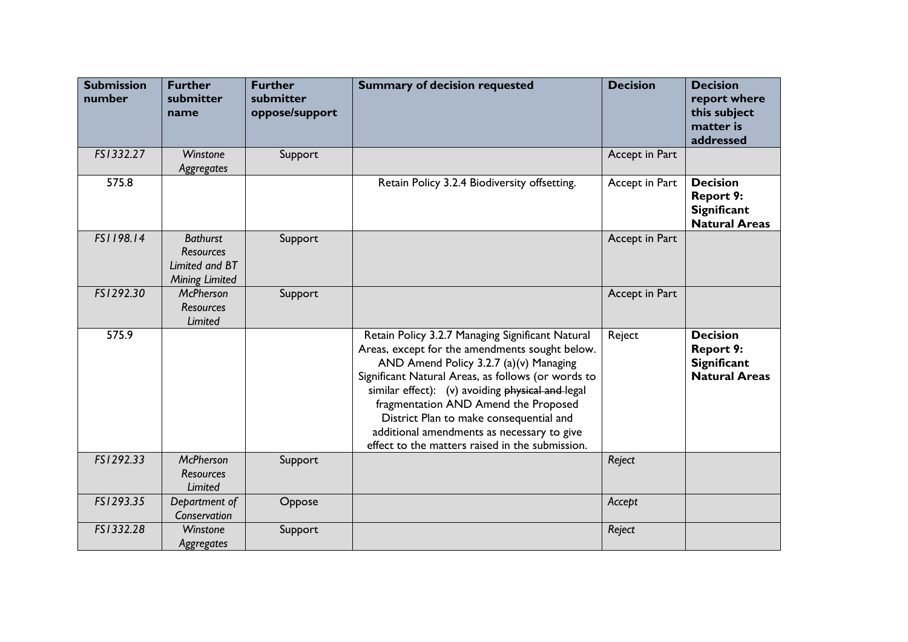| <b>Submission</b><br>number | <b>Further</b><br>submitter<br>name                                            | <b>Further</b><br>submitter<br>oppose/support | <b>Summary of decision requested</b>                                                                                                                                                                                                                                                                                                                                                                                                       | <b>Decision</b> | <b>Decision</b><br>report where<br>this subject<br>matter is<br>addressed         |
|-----------------------------|--------------------------------------------------------------------------------|-----------------------------------------------|--------------------------------------------------------------------------------------------------------------------------------------------------------------------------------------------------------------------------------------------------------------------------------------------------------------------------------------------------------------------------------------------------------------------------------------------|-----------------|-----------------------------------------------------------------------------------|
| FS1332.27                   | Winstone<br>Aggregates                                                         | Support                                       |                                                                                                                                                                                                                                                                                                                                                                                                                                            | Accept in Part  |                                                                                   |
| 575.8                       |                                                                                |                                               | Retain Policy 3.2.4 Biodiversity offsetting.                                                                                                                                                                                                                                                                                                                                                                                               | Accept in Part  | <b>Decision</b><br><b>Report 9:</b><br><b>Significant</b><br><b>Natural Areas</b> |
| FS1198.14                   | <b>Bathurst</b><br><b>Resources</b><br>Limited and BT<br><b>Mining Limited</b> | Support                                       |                                                                                                                                                                                                                                                                                                                                                                                                                                            | Accept in Part  |                                                                                   |
| FS1292.30                   | <b>McPherson</b><br><b>Resources</b><br><b>Limited</b>                         | Support                                       |                                                                                                                                                                                                                                                                                                                                                                                                                                            | Accept in Part  |                                                                                   |
| 575.9                       |                                                                                |                                               | Retain Policy 3.2.7 Managing Significant Natural<br>Areas, except for the amendments sought below.<br>AND Amend Policy 3.2.7 (a)(v) Managing<br>Significant Natural Areas, as follows (or words to<br>similar effect): (v) avoiding physical and-legal<br>fragmentation AND Amend the Proposed<br>District Plan to make consequential and<br>additional amendments as necessary to give<br>effect to the matters raised in the submission. | Reject          | <b>Decision</b><br><b>Report 9:</b><br><b>Significant</b><br><b>Natural Areas</b> |
| FS1292.33                   | <b>McPherson</b><br><b>Resources</b><br>Limited                                | Support                                       |                                                                                                                                                                                                                                                                                                                                                                                                                                            | Reject          |                                                                                   |
| FS1293.35                   | Department of<br>Conservation                                                  | Oppose                                        |                                                                                                                                                                                                                                                                                                                                                                                                                                            | Accept          |                                                                                   |
| FS1332.28                   | Winstone<br>Aggregates                                                         | Support                                       |                                                                                                                                                                                                                                                                                                                                                                                                                                            | Reject          |                                                                                   |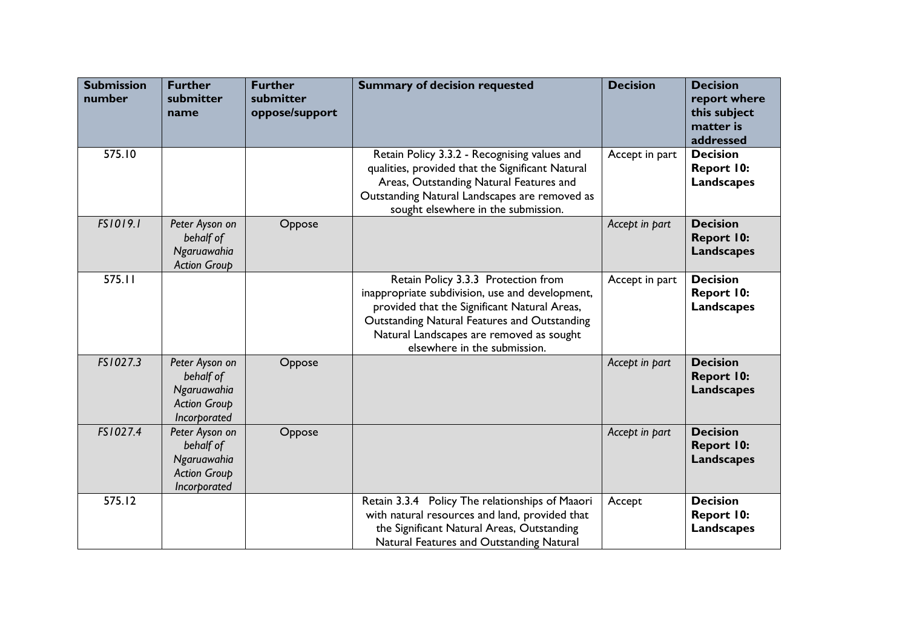| <b>Submission</b><br>number | <b>Further</b><br>submitter<br>name                                               | <b>Further</b><br>submitter<br>oppose/support | <b>Summary of decision requested</b>                                                                                                                                                                                                                               | <b>Decision</b> | <b>Decision</b><br>report where<br>this subject<br>matter is<br>addressed |
|-----------------------------|-----------------------------------------------------------------------------------|-----------------------------------------------|--------------------------------------------------------------------------------------------------------------------------------------------------------------------------------------------------------------------------------------------------------------------|-----------------|---------------------------------------------------------------------------|
| 575.10                      |                                                                                   |                                               | Retain Policy 3.3.2 - Recognising values and<br>qualities, provided that the Significant Natural<br>Areas, Outstanding Natural Features and<br>Outstanding Natural Landscapes are removed as<br>sought elsewhere in the submission.                                | Accept in part  | <b>Decision</b><br><b>Report 10:</b><br><b>Landscapes</b>                 |
| FS1019.1                    | Peter Ayson on<br>behalf of<br>Ngaruawahia<br><b>Action Group</b>                 | Oppose                                        |                                                                                                                                                                                                                                                                    | Accept in part  | <b>Decision</b><br><b>Report 10:</b><br><b>Landscapes</b>                 |
| 575.11                      |                                                                                   |                                               | Retain Policy 3.3.3 Protection from<br>inappropriate subdivision, use and development,<br>provided that the Significant Natural Areas,<br>Outstanding Natural Features and Outstanding<br>Natural Landscapes are removed as sought<br>elsewhere in the submission. | Accept in part  | <b>Decision</b><br>Report 10:<br><b>Landscapes</b>                        |
| FS1027.3                    | Peter Ayson on<br>behalf of<br>Ngaruawahia<br><b>Action Group</b><br>Incorporated | Oppose                                        |                                                                                                                                                                                                                                                                    | Accept in part  | <b>Decision</b><br><b>Report 10:</b><br><b>Landscapes</b>                 |
| FS1027.4                    | Peter Ayson on<br>behalf of<br>Ngaruawahia<br><b>Action Group</b><br>Incorporated | Oppose                                        |                                                                                                                                                                                                                                                                    | Accept in part  | <b>Decision</b><br><b>Report 10:</b><br><b>Landscapes</b>                 |
| 575.12                      |                                                                                   |                                               | Retain 3.3.4 Policy The relationships of Maaori<br>with natural resources and land, provided that<br>the Significant Natural Areas, Outstanding<br>Natural Features and Outstanding Natural                                                                        | Accept          | <b>Decision</b><br><b>Report 10:</b><br><b>Landscapes</b>                 |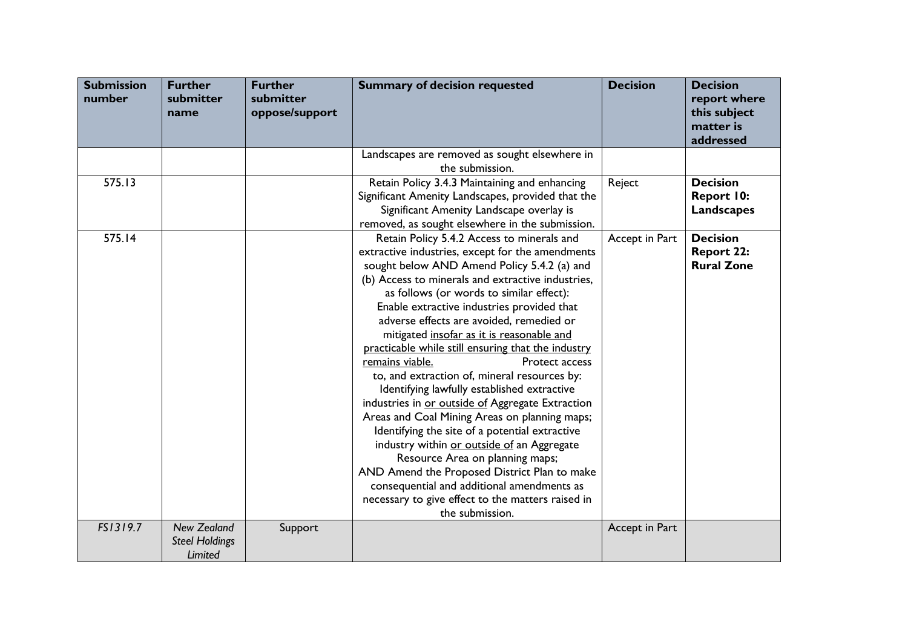| <b>Submission</b><br>number | <b>Further</b><br>submitter<br>name | <b>Further</b><br>submitter<br>oppose/support | <b>Summary of decision requested</b>                                                              | <b>Decision</b> | <b>Decision</b><br>report where<br>this subject<br>matter is<br>addressed |
|-----------------------------|-------------------------------------|-----------------------------------------------|---------------------------------------------------------------------------------------------------|-----------------|---------------------------------------------------------------------------|
|                             |                                     |                                               | Landscapes are removed as sought elsewhere in                                                     |                 |                                                                           |
|                             |                                     |                                               | the submission.                                                                                   |                 |                                                                           |
| 575.13                      |                                     |                                               | Retain Policy 3.4.3 Maintaining and enhancing                                                     | Reject          | <b>Decision</b>                                                           |
|                             |                                     |                                               | Significant Amenity Landscapes, provided that the                                                 |                 | Report 10:                                                                |
|                             |                                     |                                               | Significant Amenity Landscape overlay is                                                          |                 | Landscapes                                                                |
|                             |                                     |                                               | removed, as sought elsewhere in the submission.                                                   |                 |                                                                           |
| 575.14                      |                                     |                                               | Retain Policy 5.4.2 Access to minerals and                                                        | Accept in Part  | <b>Decision</b>                                                           |
|                             |                                     |                                               | extractive industries, except for the amendments                                                  |                 | <b>Report 22:</b>                                                         |
|                             |                                     |                                               | sought below AND Amend Policy 5.4.2 (a) and                                                       |                 | <b>Rural Zone</b>                                                         |
|                             |                                     |                                               | (b) Access to minerals and extractive industries,                                                 |                 |                                                                           |
|                             |                                     |                                               | as follows (or words to similar effect):                                                          |                 |                                                                           |
|                             |                                     |                                               | Enable extractive industries provided that                                                        |                 |                                                                           |
|                             |                                     |                                               | adverse effects are avoided, remedied or                                                          |                 |                                                                           |
|                             |                                     |                                               | mitigated insofar as it is reasonable and                                                         |                 |                                                                           |
|                             |                                     |                                               | practicable while still ensuring that the industry                                                |                 |                                                                           |
|                             |                                     |                                               | remains viable.<br>Protect access                                                                 |                 |                                                                           |
|                             |                                     |                                               | to, and extraction of, mineral resources by:                                                      |                 |                                                                           |
|                             |                                     |                                               | Identifying lawfully established extractive                                                       |                 |                                                                           |
|                             |                                     |                                               | industries in or outside of Aggregate Extraction<br>Areas and Coal Mining Areas on planning maps; |                 |                                                                           |
|                             |                                     |                                               | Identifying the site of a potential extractive                                                    |                 |                                                                           |
|                             |                                     |                                               | industry within or outside of an Aggregate                                                        |                 |                                                                           |
|                             |                                     |                                               | Resource Area on planning maps;                                                                   |                 |                                                                           |
|                             |                                     |                                               | AND Amend the Proposed District Plan to make                                                      |                 |                                                                           |
|                             |                                     |                                               | consequential and additional amendments as                                                        |                 |                                                                           |
|                             |                                     |                                               | necessary to give effect to the matters raised in                                                 |                 |                                                                           |
|                             |                                     |                                               | the submission.                                                                                   |                 |                                                                           |
| FS1319.7                    | <b>New Zealand</b>                  | Support                                       |                                                                                                   | Accept in Part  |                                                                           |
|                             | <b>Steel Holdings</b><br>Limited    |                                               |                                                                                                   |                 |                                                                           |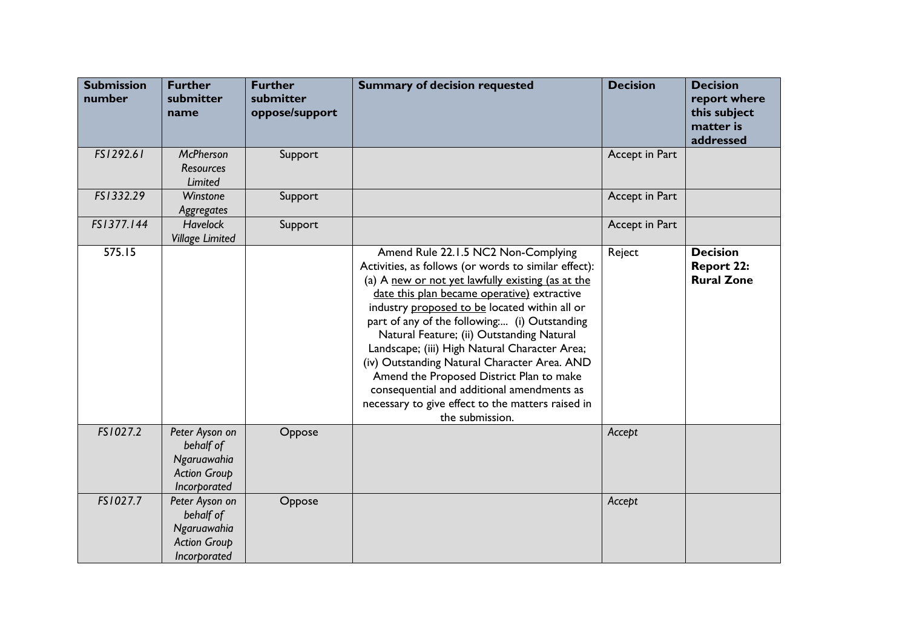| <b>Submission</b><br>number | <b>Further</b><br>submitter<br>name                                               | <b>Further</b><br>submitter<br>oppose/support | <b>Summary of decision requested</b>                                                                                                                                                                                                                                                                                                                                                                                                                                                                                                                                                                             | <b>Decision</b> | <b>Decision</b><br>report where<br>this subject<br>matter is<br>addressed |
|-----------------------------|-----------------------------------------------------------------------------------|-----------------------------------------------|------------------------------------------------------------------------------------------------------------------------------------------------------------------------------------------------------------------------------------------------------------------------------------------------------------------------------------------------------------------------------------------------------------------------------------------------------------------------------------------------------------------------------------------------------------------------------------------------------------------|-----------------|---------------------------------------------------------------------------|
| FS1292.61                   | <b>McPherson</b><br><b>Resources</b><br>Limited                                   | Support                                       |                                                                                                                                                                                                                                                                                                                                                                                                                                                                                                                                                                                                                  | Accept in Part  |                                                                           |
| FS1332.29                   | Winstone<br>Aggregates                                                            | Support                                       |                                                                                                                                                                                                                                                                                                                                                                                                                                                                                                                                                                                                                  | Accept in Part  |                                                                           |
| FS1377.144                  | <b>Havelock</b><br><b>Village Limited</b>                                         | Support                                       |                                                                                                                                                                                                                                                                                                                                                                                                                                                                                                                                                                                                                  | Accept in Part  |                                                                           |
| 575.15                      |                                                                                   |                                               | Amend Rule 22.1.5 NC2 Non-Complying<br>Activities, as follows (or words to similar effect):<br>(a) A new or not yet lawfully existing (as at the<br>date this plan became operative) extractive<br>industry proposed to be located within all or<br>part of any of the following (i) Outstanding<br>Natural Feature; (ii) Outstanding Natural<br>Landscape; (iii) High Natural Character Area;<br>(iv) Outstanding Natural Character Area. AND<br>Amend the Proposed District Plan to make<br>consequential and additional amendments as<br>necessary to give effect to the matters raised in<br>the submission. | Reject          | <b>Decision</b><br><b>Report 22:</b><br><b>Rural Zone</b>                 |
| FS1027.2                    | Peter Ayson on<br>behalf of<br>Ngaruawahia<br><b>Action Group</b><br>Incorporated | Oppose                                        |                                                                                                                                                                                                                                                                                                                                                                                                                                                                                                                                                                                                                  | Accept          |                                                                           |
| FS1027.7                    | Peter Ayson on<br>behalf of<br>Ngaruawahia<br><b>Action Group</b><br>Incorporated | Oppose                                        |                                                                                                                                                                                                                                                                                                                                                                                                                                                                                                                                                                                                                  | Accept          |                                                                           |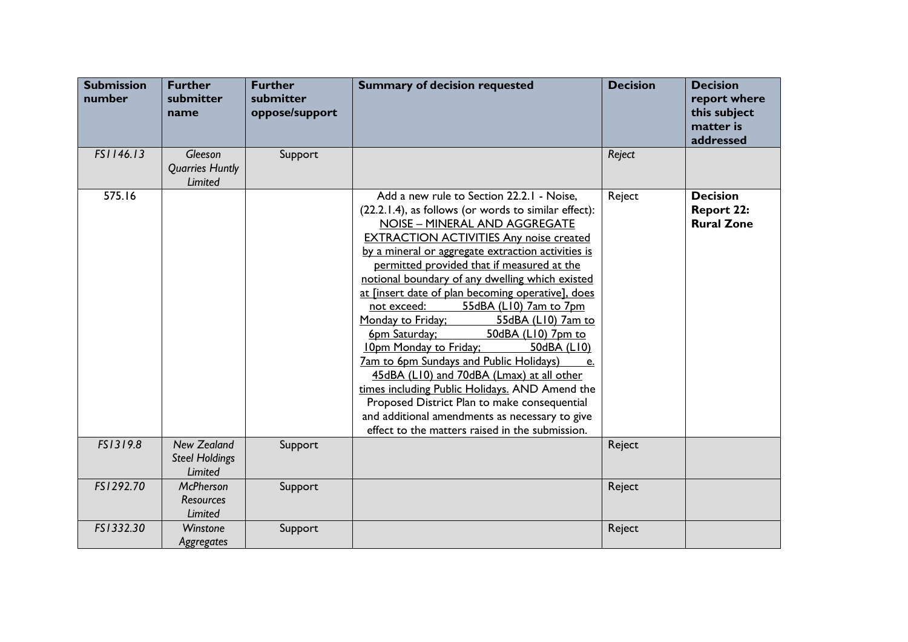| <b>Submission</b><br>number | <b>Further</b><br>submitter<br>name                    | <b>Further</b><br>submitter<br>oppose/support | <b>Summary of decision requested</b>                                                                                                                                                                                                                                                                                                                                                                                                                                                                                                                                                                                                                                                                                                                                                                                                                                             | <b>Decision</b> | <b>Decision</b><br>report where<br>this subject<br>matter is<br>addressed |
|-----------------------------|--------------------------------------------------------|-----------------------------------------------|----------------------------------------------------------------------------------------------------------------------------------------------------------------------------------------------------------------------------------------------------------------------------------------------------------------------------------------------------------------------------------------------------------------------------------------------------------------------------------------------------------------------------------------------------------------------------------------------------------------------------------------------------------------------------------------------------------------------------------------------------------------------------------------------------------------------------------------------------------------------------------|-----------------|---------------------------------------------------------------------------|
| FS1146.13                   | <b>Gleeson</b><br><b>Quarries Huntly</b><br>Limited    | Support                                       |                                                                                                                                                                                                                                                                                                                                                                                                                                                                                                                                                                                                                                                                                                                                                                                                                                                                                  | Reject          |                                                                           |
| 575.16                      |                                                        |                                               | Add a new rule to Section 22.2.1 - Noise,<br>(22.2.1.4), as follows (or words to similar effect):<br>NOISE - MINERAL AND AGGREGATE<br><b>EXTRACTION ACTIVITIES Any noise created</b><br>by a mineral or aggregate extraction activities is<br>permitted provided that if measured at the<br>notional boundary of any dwelling which existed<br>at [insert date of plan becoming operative], does<br>55dBA (L10) 7am to 7pm<br>not exceed:<br>Monday to Friday;<br>55dBA (L10) 7am to<br>6pm Saturday;<br>50dBA (L10) 7pm to<br>10pm Monday to Friday;<br>50dBA (L10)<br><b>7am to 6pm Sundays and Public Holidays)</b><br>e.<br>45dBA (L10) and 70dBA (Lmax) at all other<br>times including Public Holidays. AND Amend the<br>Proposed District Plan to make consequential<br>and additional amendments as necessary to give<br>effect to the matters raised in the submission. | Reject          | <b>Decision</b><br><b>Report 22:</b><br><b>Rural Zone</b>                 |
| FS1319.8                    | <b>New Zealand</b><br><b>Steel Holdings</b><br>Limited | Support                                       |                                                                                                                                                                                                                                                                                                                                                                                                                                                                                                                                                                                                                                                                                                                                                                                                                                                                                  | Reject          |                                                                           |
| FS1292.70                   | <b>McPherson</b><br><b>Resources</b><br>Limited        | Support                                       |                                                                                                                                                                                                                                                                                                                                                                                                                                                                                                                                                                                                                                                                                                                                                                                                                                                                                  | Reject          |                                                                           |
| FS1332.30                   | Winstone<br>Aggregates                                 | Support                                       |                                                                                                                                                                                                                                                                                                                                                                                                                                                                                                                                                                                                                                                                                                                                                                                                                                                                                  | Reject          |                                                                           |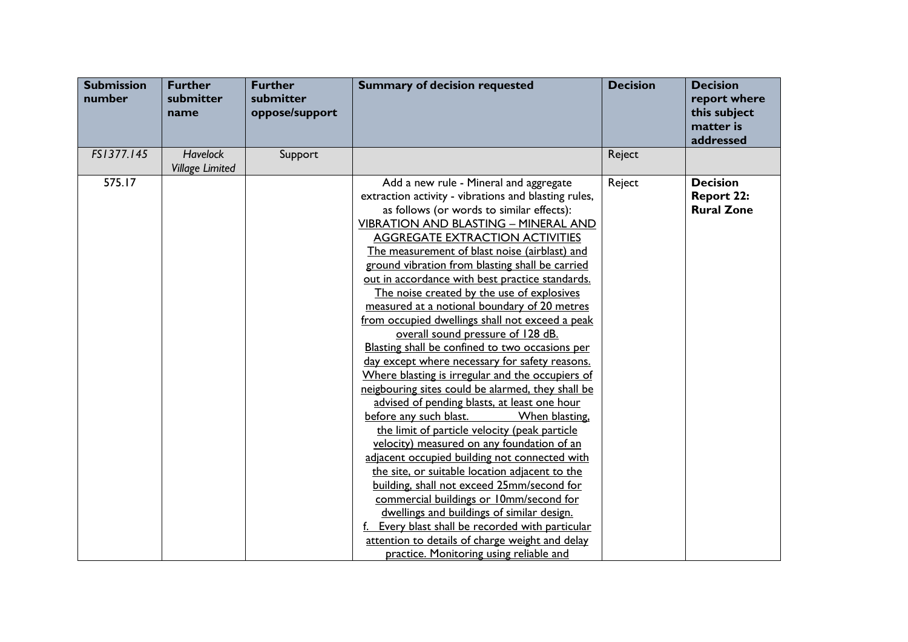| <b>Submission</b><br>number | <b>Further</b><br>submitter<br>name       | <b>Further</b><br>submitter<br>oppose/support | <b>Summary of decision requested</b>                                                                                                                                                                                                                                                                                                                                                                                                                                                                                                                                                                                                                                                                                                                                                                                                                                                                                                                                                                                                                                                                                                                                                                                                                                                                                                                                                | <b>Decision</b> | <b>Decision</b><br>report where<br>this subject<br>matter is<br>addressed |
|-----------------------------|-------------------------------------------|-----------------------------------------------|-------------------------------------------------------------------------------------------------------------------------------------------------------------------------------------------------------------------------------------------------------------------------------------------------------------------------------------------------------------------------------------------------------------------------------------------------------------------------------------------------------------------------------------------------------------------------------------------------------------------------------------------------------------------------------------------------------------------------------------------------------------------------------------------------------------------------------------------------------------------------------------------------------------------------------------------------------------------------------------------------------------------------------------------------------------------------------------------------------------------------------------------------------------------------------------------------------------------------------------------------------------------------------------------------------------------------------------------------------------------------------------|-----------------|---------------------------------------------------------------------------|
| FS1377.145                  | <b>Havelock</b><br><b>Village Limited</b> | Support                                       |                                                                                                                                                                                                                                                                                                                                                                                                                                                                                                                                                                                                                                                                                                                                                                                                                                                                                                                                                                                                                                                                                                                                                                                                                                                                                                                                                                                     | Reject          |                                                                           |
| 575.17                      |                                           |                                               | Add a new rule - Mineral and aggregate<br>extraction activity - vibrations and blasting rules,<br>as follows (or words to similar effects):<br><b>VIBRATION AND BLASTING - MINERAL AND</b><br><b>AGGREGATE EXTRACTION ACTIVITIES</b><br>The measurement of blast noise (airblast) and<br>ground vibration from blasting shall be carried<br>out in accordance with best practice standards.<br>The noise created by the use of explosives<br>measured at a notional boundary of 20 metres<br>from occupied dwellings shall not exceed a peak<br>overall sound pressure of 128 dB.<br>Blasting shall be confined to two occasions per<br>day except where necessary for safety reasons.<br>Where blasting is irregular and the occupiers of<br>neigbouring sites could be alarmed, they shall be<br>advised of pending blasts, at least one hour<br>before any such blast.<br>When blasting,<br>the limit of particle velocity (peak particle<br>velocity) measured on any foundation of an<br>adjacent occupied building not connected with<br>the site, or suitable location adjacent to the<br>building, shall not exceed 25mm/second for<br>commercial buildings or 10mm/second for<br>dwellings and buildings of similar design.<br>Every blast shall be recorded with particular<br>attention to details of charge weight and delay<br>practice. Monitoring using reliable and | Reject          | <b>Decision</b><br><b>Report 22:</b><br><b>Rural Zone</b>                 |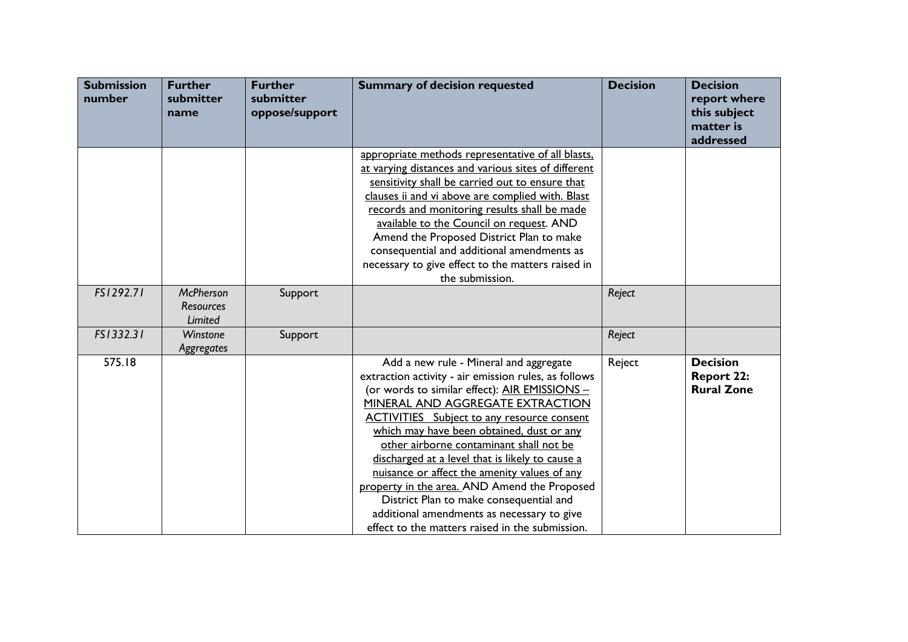| <b>Submission</b><br>number | <b>Further</b><br>submitter<br>name             | <b>Further</b><br>submitter<br>oppose/support | <b>Summary of decision requested</b>                                                                                                                                                                                                                                                                                                                                                                                                                                                                                                                                                                                            | <b>Decision</b> | <b>Decision</b><br>report where<br>this subject<br>matter is<br>addressed |
|-----------------------------|-------------------------------------------------|-----------------------------------------------|---------------------------------------------------------------------------------------------------------------------------------------------------------------------------------------------------------------------------------------------------------------------------------------------------------------------------------------------------------------------------------------------------------------------------------------------------------------------------------------------------------------------------------------------------------------------------------------------------------------------------------|-----------------|---------------------------------------------------------------------------|
|                             |                                                 |                                               | appropriate methods representative of all blasts,<br>at varying distances and various sites of different<br>sensitivity shall be carried out to ensure that<br>clauses ii and vi above are complied with. Blast<br>records and monitoring results shall be made<br>available to the Council on request. AND<br>Amend the Proposed District Plan to make<br>consequential and additional amendments as<br>necessary to give effect to the matters raised in<br>the submission.                                                                                                                                                   |                 |                                                                           |
| FS1292.71                   | <b>McPherson</b><br><b>Resources</b><br>Limited | Support                                       |                                                                                                                                                                                                                                                                                                                                                                                                                                                                                                                                                                                                                                 | Reject          |                                                                           |
| FS1332.31                   | Winstone<br>Aggregates                          | Support                                       |                                                                                                                                                                                                                                                                                                                                                                                                                                                                                                                                                                                                                                 | Reject          |                                                                           |
| 575.18                      |                                                 |                                               | Add a new rule - Mineral and aggregate<br>extraction activity - air emission rules, as follows<br>(or words to similar effect): AIR EMISSIONS -<br>MINERAL AND AGGREGATE EXTRACTION<br><b>ACTIVITIES</b> Subject to any resource consent<br>which may have been obtained, dust or any<br>other airborne contaminant shall not be<br>discharged at a level that is likely to cause a<br>nuisance or affect the amenity values of any<br>property in the area. AND Amend the Proposed<br>District Plan to make consequential and<br>additional amendments as necessary to give<br>effect to the matters raised in the submission. | Reject          | <b>Decision</b><br><b>Report 22:</b><br><b>Rural Zone</b>                 |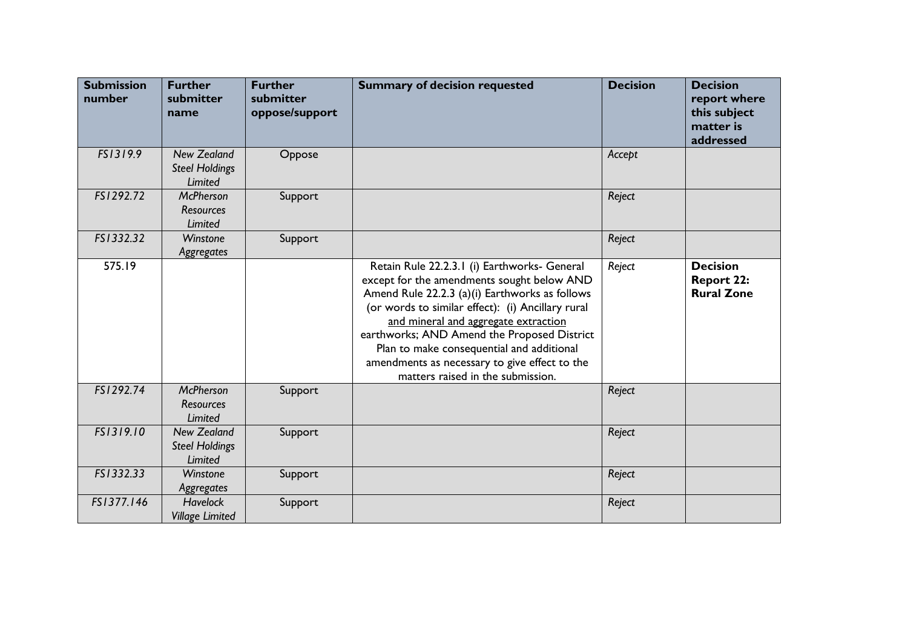| <b>Submission</b><br>number | <b>Further</b><br>submitter<br>name                    | <b>Further</b><br>submitter<br>oppose/support | <b>Summary of decision requested</b>                                                                                                                                                                                                                                                                                                                                                                                        | <b>Decision</b> | <b>Decision</b><br>report where<br>this subject<br>matter is<br>addressed |
|-----------------------------|--------------------------------------------------------|-----------------------------------------------|-----------------------------------------------------------------------------------------------------------------------------------------------------------------------------------------------------------------------------------------------------------------------------------------------------------------------------------------------------------------------------------------------------------------------------|-----------------|---------------------------------------------------------------------------|
| FS1319.9                    | <b>New Zealand</b><br><b>Steel Holdings</b><br>Limited | Oppose                                        |                                                                                                                                                                                                                                                                                                                                                                                                                             | Accept          |                                                                           |
| FS1292.72                   | <b>McPherson</b><br><b>Resources</b><br>Limited        | Support                                       |                                                                                                                                                                                                                                                                                                                                                                                                                             | Reject          |                                                                           |
| FS1332.32                   | Winstone<br>Aggregates                                 | Support                                       |                                                                                                                                                                                                                                                                                                                                                                                                                             | Reject          |                                                                           |
| 575.19                      |                                                        |                                               | Retain Rule 22.2.3.1 (i) Earthworks- General<br>except for the amendments sought below AND<br>Amend Rule 22.2.3 (a)(i) Earthworks as follows<br>(or words to similar effect): (i) Ancillary rural<br>and mineral and aggregate extraction<br>earthworks; AND Amend the Proposed District<br>Plan to make consequential and additional<br>amendments as necessary to give effect to the<br>matters raised in the submission. | Reject          | <b>Decision</b><br><b>Report 22:</b><br><b>Rural Zone</b>                 |
| FS1292.74                   | <b>McPherson</b><br><b>Resources</b><br>Limited        | Support                                       |                                                                                                                                                                                                                                                                                                                                                                                                                             | Reject          |                                                                           |
| FS1319.10                   | <b>New Zealand</b><br><b>Steel Holdings</b><br>Limited | Support                                       |                                                                                                                                                                                                                                                                                                                                                                                                                             | Reject          |                                                                           |
| FS1332.33                   | Winstone<br>Aggregates                                 | Support                                       |                                                                                                                                                                                                                                                                                                                                                                                                                             | Reject          |                                                                           |
| FS1377.146                  | <b>Havelock</b><br><b>Village Limited</b>              | Support                                       |                                                                                                                                                                                                                                                                                                                                                                                                                             | Reject          |                                                                           |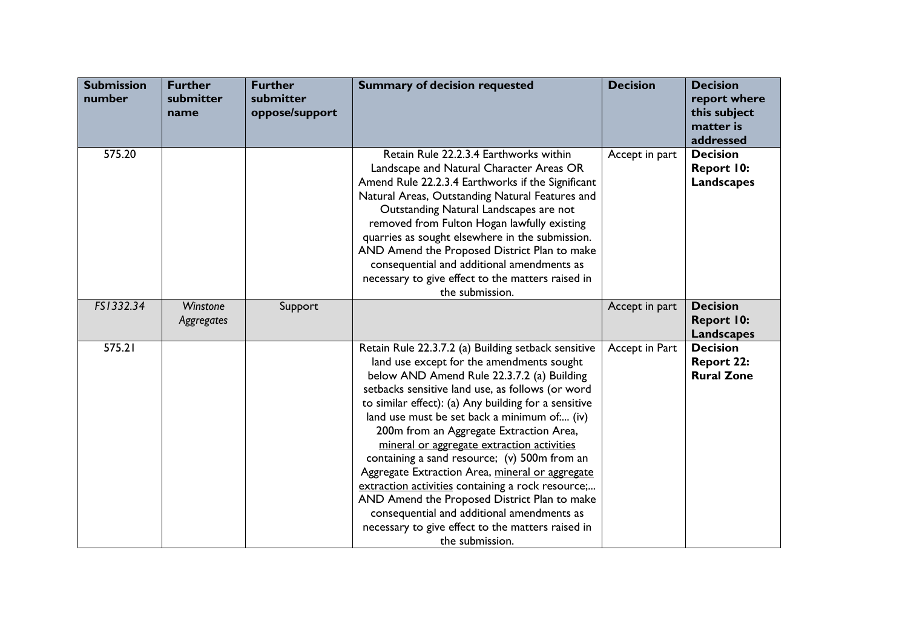| <b>Submission</b><br>number | <b>Further</b><br>submitter<br>name | <b>Further</b><br>submitter<br>oppose/support | <b>Summary of decision requested</b>                                                                                                                                                                                                                                                                                                                                                                                                                                                                                                                                                                                                                                                                                             | <b>Decision</b> | <b>Decision</b><br>report where<br>this subject<br>matter is<br>addressed |
|-----------------------------|-------------------------------------|-----------------------------------------------|----------------------------------------------------------------------------------------------------------------------------------------------------------------------------------------------------------------------------------------------------------------------------------------------------------------------------------------------------------------------------------------------------------------------------------------------------------------------------------------------------------------------------------------------------------------------------------------------------------------------------------------------------------------------------------------------------------------------------------|-----------------|---------------------------------------------------------------------------|
| 575.20                      |                                     |                                               | Retain Rule 22.2.3.4 Earthworks within<br>Landscape and Natural Character Areas OR<br>Amend Rule 22.2.3.4 Earthworks if the Significant<br>Natural Areas, Outstanding Natural Features and<br>Outstanding Natural Landscapes are not<br>removed from Fulton Hogan lawfully existing<br>quarries as sought elsewhere in the submission.<br>AND Amend the Proposed District Plan to make<br>consequential and additional amendments as<br>necessary to give effect to the matters raised in<br>the submission.                                                                                                                                                                                                                     | Accept in part  | <b>Decision</b><br>Report 10:<br><b>Landscapes</b>                        |
| FS1332.34                   | Winstone<br>Aggregates              | Support                                       |                                                                                                                                                                                                                                                                                                                                                                                                                                                                                                                                                                                                                                                                                                                                  | Accept in part  | <b>Decision</b><br>Report 10:<br><b>Landscapes</b>                        |
| 575.21                      |                                     |                                               | Retain Rule 22.3.7.2 (a) Building setback sensitive<br>land use except for the amendments sought<br>below AND Amend Rule 22.3.7.2 (a) Building<br>setbacks sensitive land use, as follows (or word<br>to similar effect): (a) Any building for a sensitive<br>land use must be set back a minimum of (iv)<br>200m from an Aggregate Extraction Area,<br>mineral or aggregate extraction activities<br>containing a sand resource; (v) 500m from an<br>Aggregate Extraction Area, mineral or aggregate<br>extraction activities containing a rock resource;<br>AND Amend the Proposed District Plan to make<br>consequential and additional amendments as<br>necessary to give effect to the matters raised in<br>the submission. | Accept in Part  | <b>Decision</b><br><b>Report 22:</b><br><b>Rural Zone</b>                 |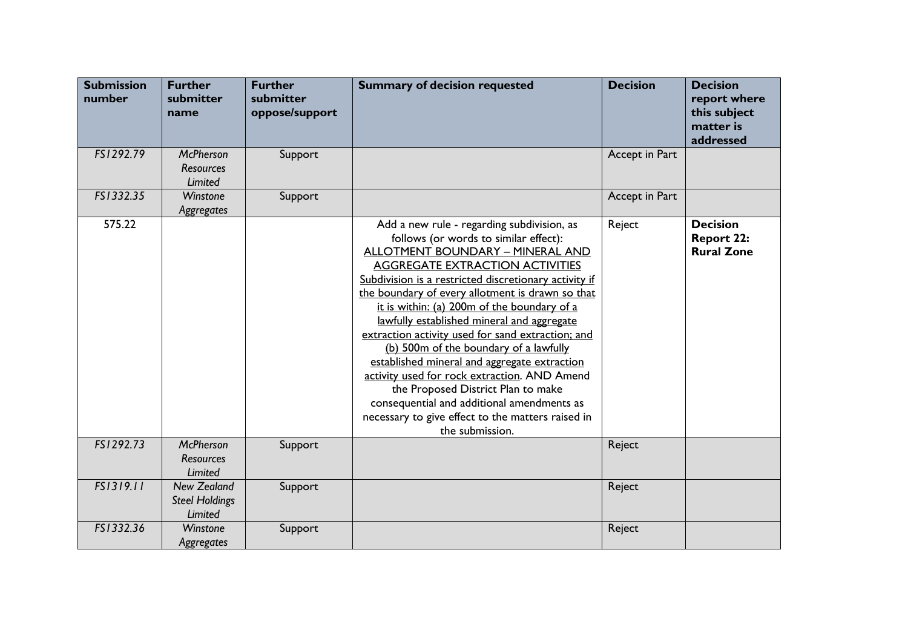| <b>Submission</b><br>number | <b>Further</b><br>submitter<br>name                    | <b>Further</b><br>submitter<br>oppose/support | <b>Summary of decision requested</b>                                                                                                                                                                                                                                                                                                                                                                                                                                                                                                                                                                                                                                                                                                   | <b>Decision</b> | <b>Decision</b><br>report where<br>this subject<br>matter is<br>addressed |
|-----------------------------|--------------------------------------------------------|-----------------------------------------------|----------------------------------------------------------------------------------------------------------------------------------------------------------------------------------------------------------------------------------------------------------------------------------------------------------------------------------------------------------------------------------------------------------------------------------------------------------------------------------------------------------------------------------------------------------------------------------------------------------------------------------------------------------------------------------------------------------------------------------------|-----------------|---------------------------------------------------------------------------|
| FS1292.79                   | <b>McPherson</b><br><b>Resources</b><br><b>Limited</b> | Support                                       |                                                                                                                                                                                                                                                                                                                                                                                                                                                                                                                                                                                                                                                                                                                                        | Accept in Part  |                                                                           |
| FS1332.35                   | Winstone<br>Aggregates                                 | Support                                       |                                                                                                                                                                                                                                                                                                                                                                                                                                                                                                                                                                                                                                                                                                                                        | Accept in Part  |                                                                           |
| 575.22                      |                                                        |                                               | Add a new rule - regarding subdivision, as<br>follows (or words to similar effect):<br>ALLOTMENT BOUNDARY - MINERAL AND<br><b>AGGREGATE EXTRACTION ACTIVITIES</b><br>Subdivision is a restricted discretionary activity if<br>the boundary of every allotment is drawn so that<br>it is within: (a) 200m of the boundary of a<br>lawfully established mineral and aggregate<br>extraction activity used for sand extraction; and<br>(b) 500m of the boundary of a lawfully<br>established mineral and aggregate extraction<br>activity used for rock extraction. AND Amend<br>the Proposed District Plan to make<br>consequential and additional amendments as<br>necessary to give effect to the matters raised in<br>the submission. | Reject          | <b>Decision</b><br><b>Report 22:</b><br><b>Rural Zone</b>                 |
| FS1292.73                   | <b>McPherson</b><br><b>Resources</b><br>Limited        | Support                                       |                                                                                                                                                                                                                                                                                                                                                                                                                                                                                                                                                                                                                                                                                                                                        | Reject          |                                                                           |
| FS1319.11                   | <b>New Zealand</b><br><b>Steel Holdings</b><br>Limited | Support                                       |                                                                                                                                                                                                                                                                                                                                                                                                                                                                                                                                                                                                                                                                                                                                        | Reject          |                                                                           |
| FS1332.36                   | Winstone<br>Aggregates                                 | Support                                       |                                                                                                                                                                                                                                                                                                                                                                                                                                                                                                                                                                                                                                                                                                                                        | Reject          |                                                                           |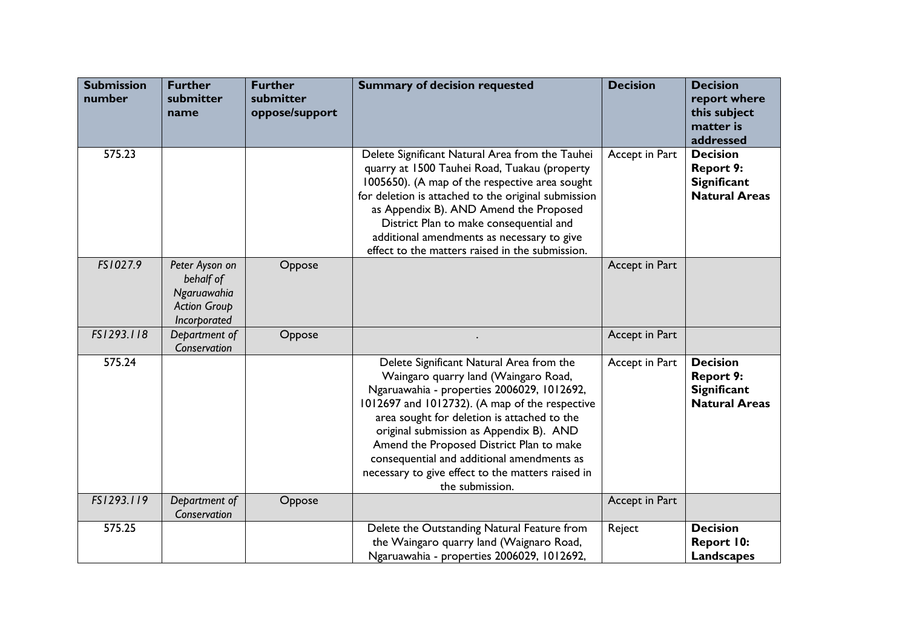| <b>Submission</b><br>number | <b>Further</b><br>submitter<br>name                                               | <b>Further</b><br>submitter<br>oppose/support | <b>Summary of decision requested</b>                                                                                                                                                                                                                                                                                                                                                                                                         | <b>Decision</b> | <b>Decision</b><br>report where<br>this subject<br>matter is<br>addressed         |
|-----------------------------|-----------------------------------------------------------------------------------|-----------------------------------------------|----------------------------------------------------------------------------------------------------------------------------------------------------------------------------------------------------------------------------------------------------------------------------------------------------------------------------------------------------------------------------------------------------------------------------------------------|-----------------|-----------------------------------------------------------------------------------|
| 575.23                      |                                                                                   |                                               | Delete Significant Natural Area from the Tauhei<br>quarry at 1500 Tauhei Road, Tuakau (property<br>1005650). (A map of the respective area sought<br>for deletion is attached to the original submission<br>as Appendix B). AND Amend the Proposed<br>District Plan to make consequential and<br>additional amendments as necessary to give<br>effect to the matters raised in the submission.                                               | Accept in Part  | <b>Decision</b><br><b>Report 9:</b><br><b>Significant</b><br><b>Natural Areas</b> |
| FS1027.9                    | Peter Ayson on<br>behalf of<br>Ngaruawahia<br><b>Action Group</b><br>Incorporated | Oppose                                        |                                                                                                                                                                                                                                                                                                                                                                                                                                              | Accept in Part  |                                                                                   |
| FS1293.118                  | Department of<br>Conservation                                                     | Oppose                                        |                                                                                                                                                                                                                                                                                                                                                                                                                                              | Accept in Part  |                                                                                   |
| 575.24                      |                                                                                   |                                               | Delete Significant Natural Area from the<br>Waingaro quarry land (Waingaro Road,<br>Ngaruawahia - properties 2006029, 1012692,<br>1012697 and 1012732). (A map of the respective<br>area sought for deletion is attached to the<br>original submission as Appendix B). AND<br>Amend the Proposed District Plan to make<br>consequential and additional amendments as<br>necessary to give effect to the matters raised in<br>the submission. | Accept in Part  | <b>Decision</b><br><b>Report 9:</b><br><b>Significant</b><br><b>Natural Areas</b> |
| FS1293.119                  | Department of<br>Conservation                                                     | Oppose                                        |                                                                                                                                                                                                                                                                                                                                                                                                                                              | Accept in Part  |                                                                                   |
| 575.25                      |                                                                                   |                                               | Delete the Outstanding Natural Feature from<br>the Waingaro quarry land (Waignaro Road,<br>Ngaruawahia - properties 2006029, 1012692,                                                                                                                                                                                                                                                                                                        | Reject          | <b>Decision</b><br>Report 10:<br><b>Landscapes</b>                                |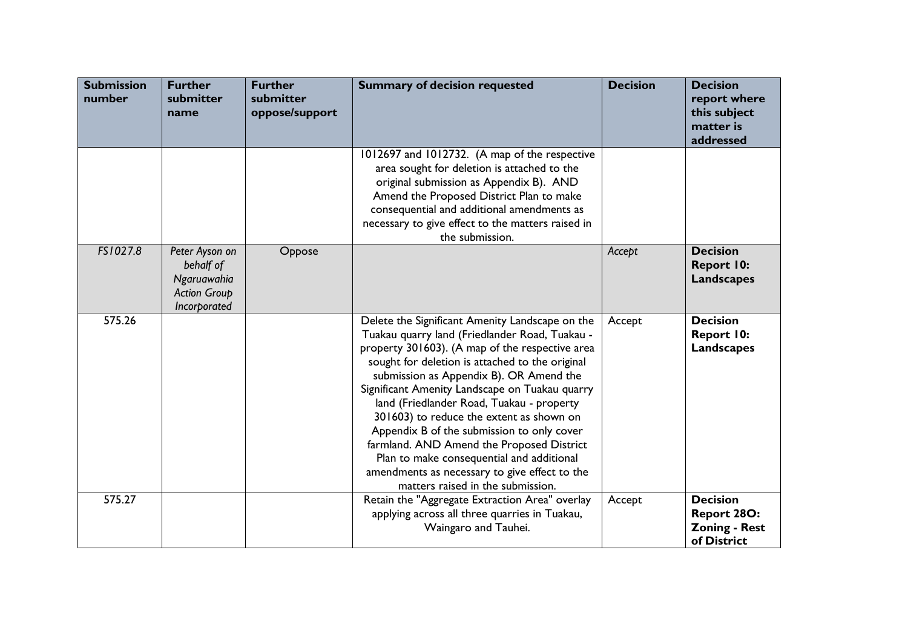| <b>Submission</b><br>number | <b>Further</b><br>submitter<br>name                                               | <b>Further</b><br>submitter<br>oppose/support | <b>Summary of decision requested</b>                                                                                                                                                                                                                                                                                                                                                                                                                                                                                                                                                                                        | <b>Decision</b> | <b>Decision</b><br>report where<br>this subject<br>matter is<br>addressed |
|-----------------------------|-----------------------------------------------------------------------------------|-----------------------------------------------|-----------------------------------------------------------------------------------------------------------------------------------------------------------------------------------------------------------------------------------------------------------------------------------------------------------------------------------------------------------------------------------------------------------------------------------------------------------------------------------------------------------------------------------------------------------------------------------------------------------------------------|-----------------|---------------------------------------------------------------------------|
|                             |                                                                                   |                                               | 1012697 and 1012732. (A map of the respective<br>area sought for deletion is attached to the<br>original submission as Appendix B). AND<br>Amend the Proposed District Plan to make<br>consequential and additional amendments as<br>necessary to give effect to the matters raised in<br>the submission.                                                                                                                                                                                                                                                                                                                   |                 |                                                                           |
| FS1027.8                    | Peter Ayson on<br>behalf of<br>Ngaruawahia<br><b>Action Group</b><br>Incorporated | Oppose                                        |                                                                                                                                                                                                                                                                                                                                                                                                                                                                                                                                                                                                                             | Accept          | <b>Decision</b><br><b>Report 10:</b><br><b>Landscapes</b>                 |
| 575.26                      |                                                                                   |                                               | Delete the Significant Amenity Landscape on the<br>Tuakau quarry land (Friedlander Road, Tuakau -<br>property 301603). (A map of the respective area<br>sought for deletion is attached to the original<br>submission as Appendix B). OR Amend the<br>Significant Amenity Landscape on Tuakau quarry<br>land (Friedlander Road, Tuakau - property<br>301603) to reduce the extent as shown on<br>Appendix B of the submission to only cover<br>farmland. AND Amend the Proposed District<br>Plan to make consequential and additional<br>amendments as necessary to give effect to the<br>matters raised in the submission. | Accept          | <b>Decision</b><br><b>Report 10:</b><br><b>Landscapes</b>                 |
| 575.27                      |                                                                                   |                                               | Retain the "Aggregate Extraction Area" overlay<br>applying across all three quarries in Tuakau,<br>Waingaro and Tauhei.                                                                                                                                                                                                                                                                                                                                                                                                                                                                                                     | Accept          | <b>Decision</b><br>Report 28O:<br><b>Zoning - Rest</b><br>of District     |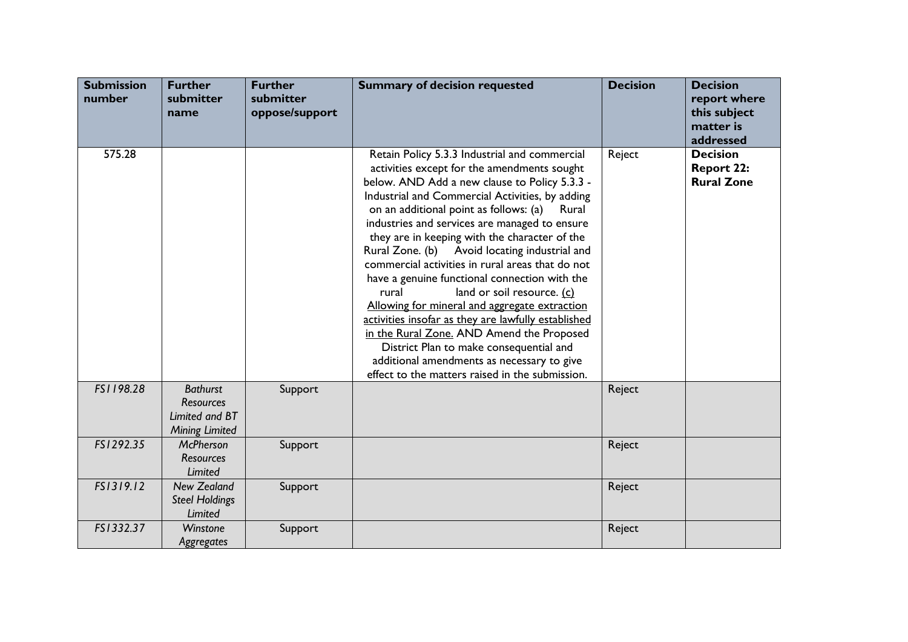| <b>Submission</b><br>number | <b>Further</b><br>submitter<br>name                                            | <b>Further</b><br>submitter<br>oppose/support | <b>Summary of decision requested</b>                                                                                                                                                                                                                                                                                                                                                                                                                                                                                                                                                                                                                                                                                                                                                                                                                | <b>Decision</b> | <b>Decision</b><br>report where<br>this subject<br>matter is<br>addressed |
|-----------------------------|--------------------------------------------------------------------------------|-----------------------------------------------|-----------------------------------------------------------------------------------------------------------------------------------------------------------------------------------------------------------------------------------------------------------------------------------------------------------------------------------------------------------------------------------------------------------------------------------------------------------------------------------------------------------------------------------------------------------------------------------------------------------------------------------------------------------------------------------------------------------------------------------------------------------------------------------------------------------------------------------------------------|-----------------|---------------------------------------------------------------------------|
| 575.28                      |                                                                                |                                               | Retain Policy 5.3.3 Industrial and commercial<br>activities except for the amendments sought<br>below. AND Add a new clause to Policy 5.3.3 -<br>Industrial and Commercial Activities, by adding<br>on an additional point as follows: (a)<br>Rural<br>industries and services are managed to ensure<br>they are in keeping with the character of the<br>Rural Zone. (b) Avoid locating industrial and<br>commercial activities in rural areas that do not<br>have a genuine functional connection with the<br>land or soil resource. (c)<br>rural<br>Allowing for mineral and aggregate extraction<br>activities insofar as they are lawfully established<br>in the Rural Zone. AND Amend the Proposed<br>District Plan to make consequential and<br>additional amendments as necessary to give<br>effect to the matters raised in the submission. | Reject          | <b>Decision</b><br><b>Report 22:</b><br><b>Rural Zone</b>                 |
| FS1198.28                   | <b>Bathurst</b><br><b>Resources</b><br>Limited and BT<br><b>Mining Limited</b> | Support                                       |                                                                                                                                                                                                                                                                                                                                                                                                                                                                                                                                                                                                                                                                                                                                                                                                                                                     | Reject          |                                                                           |
| FS1292.35                   | <b>McPherson</b><br><b>Resources</b><br><b>Limited</b>                         | Support                                       |                                                                                                                                                                                                                                                                                                                                                                                                                                                                                                                                                                                                                                                                                                                                                                                                                                                     | Reject          |                                                                           |
| FS1319.12                   | <b>New Zealand</b><br><b>Steel Holdings</b><br>Limited                         | Support                                       |                                                                                                                                                                                                                                                                                                                                                                                                                                                                                                                                                                                                                                                                                                                                                                                                                                                     | Reject          |                                                                           |
| FS1332.37                   | Winstone<br>Aggregates                                                         | Support                                       |                                                                                                                                                                                                                                                                                                                                                                                                                                                                                                                                                                                                                                                                                                                                                                                                                                                     | Reject          |                                                                           |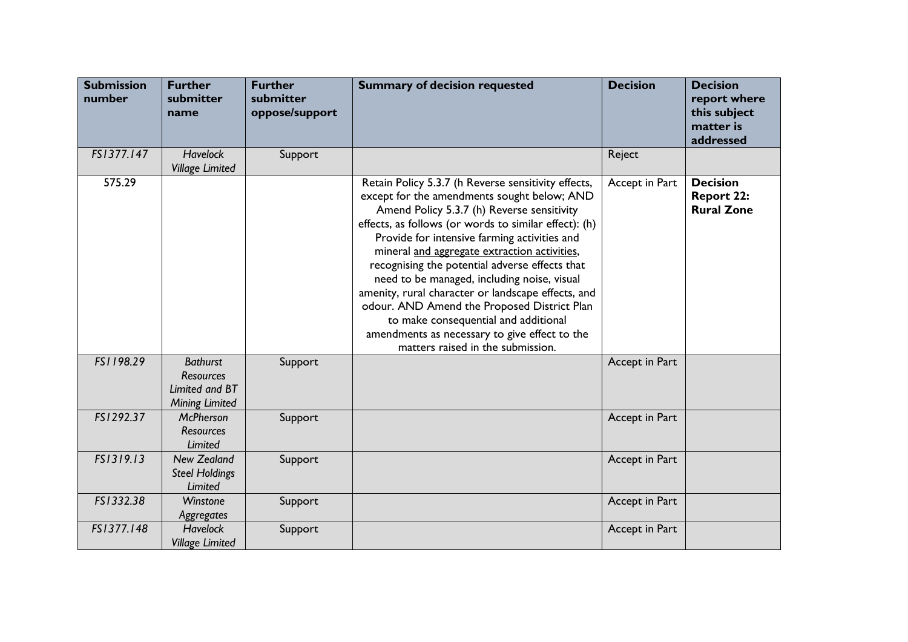| <b>Submission</b><br>number | <b>Further</b><br>submitter<br>name                                            | <b>Further</b><br>submitter<br>oppose/support | <b>Summary of decision requested</b>                                                                                                                                                                                                                                                                                                                                                                                                                                                                                                                                                                                                          | <b>Decision</b> | <b>Decision</b><br>report where<br>this subject<br>matter is<br>addressed |
|-----------------------------|--------------------------------------------------------------------------------|-----------------------------------------------|-----------------------------------------------------------------------------------------------------------------------------------------------------------------------------------------------------------------------------------------------------------------------------------------------------------------------------------------------------------------------------------------------------------------------------------------------------------------------------------------------------------------------------------------------------------------------------------------------------------------------------------------------|-----------------|---------------------------------------------------------------------------|
| FS1377.147                  | <b>Havelock</b><br><b>Village Limited</b>                                      | Support                                       |                                                                                                                                                                                                                                                                                                                                                                                                                                                                                                                                                                                                                                               | Reject          |                                                                           |
| 575.29                      |                                                                                |                                               | Retain Policy 5.3.7 (h Reverse sensitivity effects,<br>except for the amendments sought below; AND<br>Amend Policy 5.3.7 (h) Reverse sensitivity<br>effects, as follows (or words to similar effect): (h)<br>Provide for intensive farming activities and<br>mineral and aggregate extraction activities,<br>recognising the potential adverse effects that<br>need to be managed, including noise, visual<br>amenity, rural character or landscape effects, and<br>odour. AND Amend the Proposed District Plan<br>to make consequential and additional<br>amendments as necessary to give effect to the<br>matters raised in the submission. | Accept in Part  | <b>Decision</b><br><b>Report 22:</b><br><b>Rural Zone</b>                 |
| FS1198.29                   | <b>Bathurst</b><br><b>Resources</b><br>Limited and BT<br><b>Mining Limited</b> | Support                                       |                                                                                                                                                                                                                                                                                                                                                                                                                                                                                                                                                                                                                                               | Accept in Part  |                                                                           |
| FS1292.37                   | <b>McPherson</b><br>Resources<br>Limited                                       | Support                                       |                                                                                                                                                                                                                                                                                                                                                                                                                                                                                                                                                                                                                                               | Accept in Part  |                                                                           |
| FS1319.13                   | <b>New Zealand</b><br><b>Steel Holdings</b><br><b>Limited</b>                  | Support                                       |                                                                                                                                                                                                                                                                                                                                                                                                                                                                                                                                                                                                                                               | Accept in Part  |                                                                           |
| FS1332.38                   | Winstone<br>Aggregates                                                         | Support                                       |                                                                                                                                                                                                                                                                                                                                                                                                                                                                                                                                                                                                                                               | Accept in Part  |                                                                           |
| FS1377.148                  | <b>Havelock</b><br><b>Village Limited</b>                                      | Support                                       |                                                                                                                                                                                                                                                                                                                                                                                                                                                                                                                                                                                                                                               | Accept in Part  |                                                                           |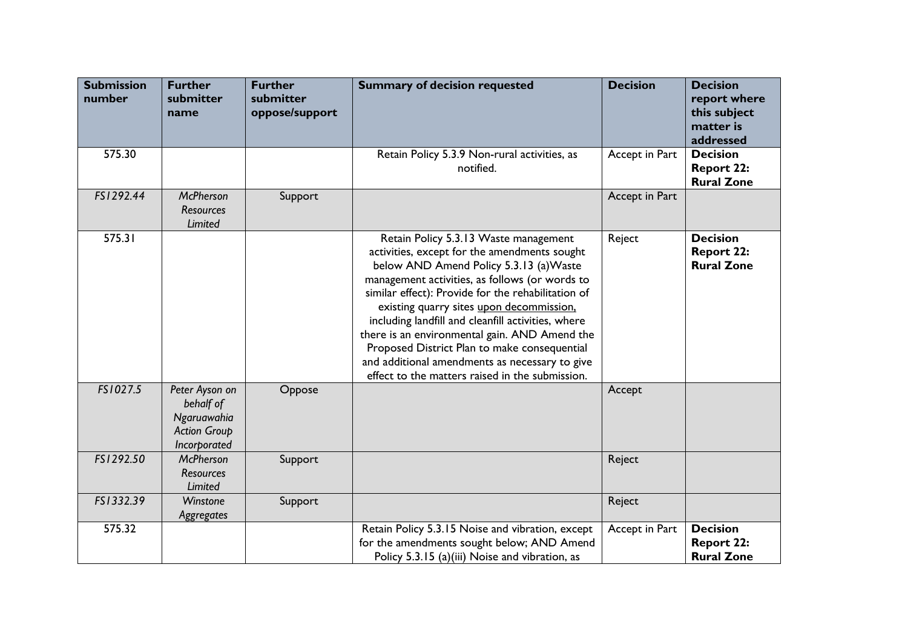| <b>Submission</b><br>number | <b>Further</b><br>submitter<br>name                                               | <b>Further</b><br>submitter<br>oppose/support | <b>Summary of decision requested</b>                                                                                                                                                                                                                                                                                                                                                                                                                                                                                                             | <b>Decision</b> | <b>Decision</b><br>report where<br>this subject<br>matter is<br>addressed |
|-----------------------------|-----------------------------------------------------------------------------------|-----------------------------------------------|--------------------------------------------------------------------------------------------------------------------------------------------------------------------------------------------------------------------------------------------------------------------------------------------------------------------------------------------------------------------------------------------------------------------------------------------------------------------------------------------------------------------------------------------------|-----------------|---------------------------------------------------------------------------|
| 575.30                      |                                                                                   |                                               | Retain Policy 5.3.9 Non-rural activities, as<br>notified.                                                                                                                                                                                                                                                                                                                                                                                                                                                                                        | Accept in Part  | <b>Decision</b><br><b>Report 22:</b><br><b>Rural Zone</b>                 |
| FS1292.44                   | <b>McPherson</b><br><b>Resources</b><br>Limited                                   | Support                                       |                                                                                                                                                                                                                                                                                                                                                                                                                                                                                                                                                  | Accept in Part  |                                                                           |
| 575.31                      |                                                                                   |                                               | Retain Policy 5.3.13 Waste management<br>activities, except for the amendments sought<br>below AND Amend Policy 5.3.13 (a) Waste<br>management activities, as follows (or words to<br>similar effect): Provide for the rehabilitation of<br>existing quarry sites upon decommission.<br>including landfill and cleanfill activities, where<br>there is an environmental gain. AND Amend the<br>Proposed District Plan to make consequential<br>and additional amendments as necessary to give<br>effect to the matters raised in the submission. | Reject          | <b>Decision</b><br><b>Report 22:</b><br><b>Rural Zone</b>                 |
| FS1027.5                    | Peter Ayson on<br>behalf of<br>Ngaruawahia<br><b>Action Group</b><br>Incorporated | Oppose                                        |                                                                                                                                                                                                                                                                                                                                                                                                                                                                                                                                                  | Accept          |                                                                           |
| FS1292.50                   | <b>McPherson</b><br><b>Resources</b><br>Limited                                   | Support                                       |                                                                                                                                                                                                                                                                                                                                                                                                                                                                                                                                                  | Reject          |                                                                           |
| FS1332.39                   | Winstone<br>Aggregates                                                            | Support                                       |                                                                                                                                                                                                                                                                                                                                                                                                                                                                                                                                                  | Reject          |                                                                           |
| 575.32                      |                                                                                   |                                               | Retain Policy 5.3.15 Noise and vibration, except<br>for the amendments sought below; AND Amend<br>Policy 5.3.15 (a)(iii) Noise and vibration, as                                                                                                                                                                                                                                                                                                                                                                                                 | Accept in Part  | <b>Decision</b><br><b>Report 22:</b><br><b>Rural Zone</b>                 |